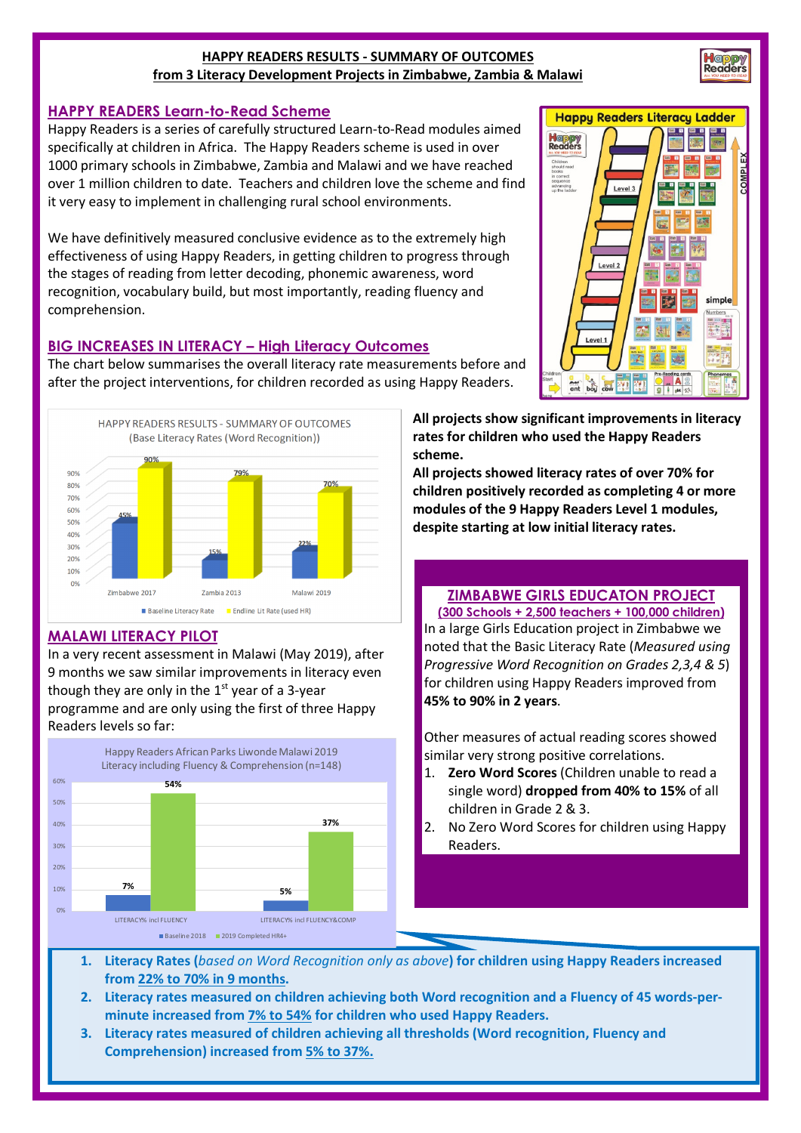# **HAPPY READERS RESULTS - SUMMARY OF OUTCOMES from 3 Literacy Development Projects in Zimbabwe, Zambia & Malawi**

#### **HAPPY READERS Learn-to-Read Scheme**

Happy Readers is a series of carefully structured Learn-to-Read modules aimed specifically at children in Africa. The Happy Readers scheme is used in over 1000 primary schools in Zimbabwe, Zambia and Malawi and we have reached over 1 million children to date. Teachers and children love the scheme and find it very easy to implement in challenging rural school environments.

We have definitively measured conclusive evidence as to the extremely high effectiveness of using Happy Readers, in getting children to progress through the stages of reading from letter decoding, phonemic awareness, word recognition, vocabulary build, but most importantly, reading fluency and comprehension.

## **BIG INCREASES IN LITERACY – High Literacy Outcomes**

The chart below summarises the overall literacy rate measurements before and after the project interventions, for children recorded as using Happy Readers.



## **MALAWI LITERACY PILOT**

In a very recent assessment in Malawi (May 2019), after 9 months we saw similar improvements in literacy even though they are only in the  $1<sup>st</sup>$  year of a 3-year programme and are only using the first of three Happy Readers levels so far:





**All projects show significant improvements in literacy rates for children who used the Happy Readers scheme.** 

**All projects showed literacy rates of over 70% for children positively recorded as completing 4 or more modules of the 9 Happy Readers Level 1 modules, despite starting at low initial literacy rates.** 



Other measures of actual reading scores showed similar very strong positive correlations.

- 1. **Zero Word Scores** (Children unable to read a single word) **dropped from 40% to 15%** of all children in Grade 2 & 3.
- 2. No Zero Word Scores for children using Happy Readers.
- **1. Literacy Rates (***based on Word Recognition only as above***) for children using Happy Readers increased from 22% to 70% in 9 months.**
- **2. Literacy rates measured on children achieving both Word recognition and a Fluency of 45 words-perminute increased from 7% to 54% for children who used Happy Readers.**
- **3. Literacy rates measured of children achieving all thresholds (Word recognition, Fluency and Comprehension) increased from 5% to 37%.**

**H**appy<br>Readers